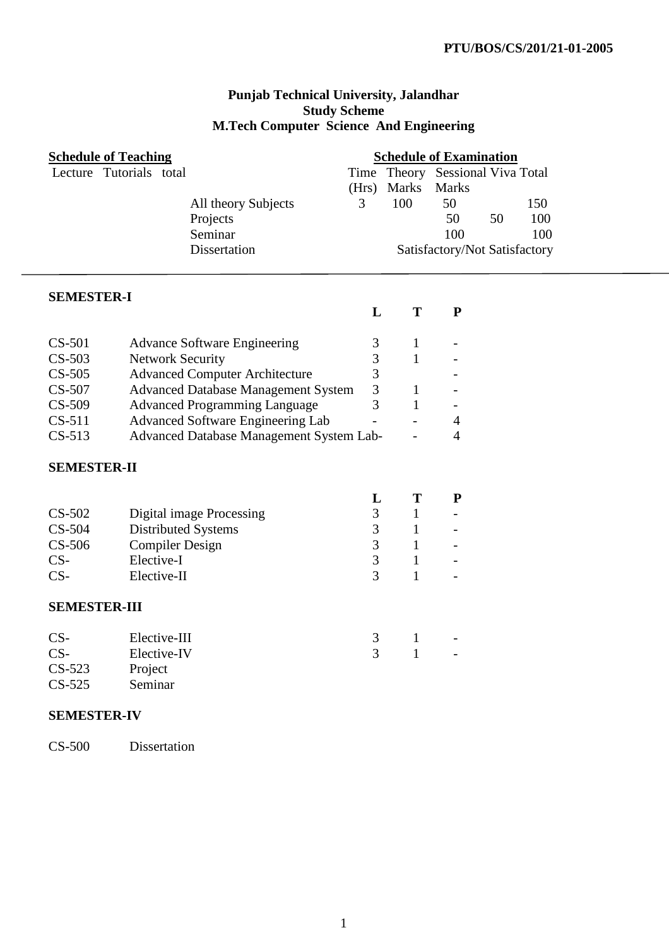#### **Punjab Technical University, Jalandhar Study Scheme M.Tech Computer Science And Engineering**

| <b>Schedule of Teaching</b> |                                            | <b>Schedule of Examination</b> |                   |                               |    |     |  |  |
|-----------------------------|--------------------------------------------|--------------------------------|-------------------|-------------------------------|----|-----|--|--|
| Lecture Tutorials total     |                                            | Time                           |                   | Theory Sessional Viva Total   |    |     |  |  |
|                             |                                            | (Hrs)                          | Marks             | <b>Marks</b>                  |    |     |  |  |
|                             | All theory Subjects                        | 3                              | 100               | 50                            |    | 150 |  |  |
|                             | Projects                                   |                                |                   | 50                            | 50 | 100 |  |  |
|                             | Seminar                                    |                                |                   | 100                           |    | 100 |  |  |
|                             | Dissertation                               |                                |                   | Satisfactory/Not Satisfactory |    |     |  |  |
|                             |                                            |                                |                   |                               |    |     |  |  |
|                             |                                            |                                |                   |                               |    |     |  |  |
| <b>SEMESTER-I</b>           |                                            |                                |                   |                               |    |     |  |  |
|                             |                                            | L                              | T                 | ${\bf P}$                     |    |     |  |  |
|                             |                                            |                                |                   |                               |    |     |  |  |
| $CS-501$                    | <b>Advance Software Engineering</b>        | 3                              | $\mathbf 1$       |                               |    |     |  |  |
| $CS-503$                    | <b>Network Security</b>                    | 3                              | 1                 |                               |    |     |  |  |
| $CS-505$                    | <b>Advanced Computer Architecture</b>      | 3                              |                   |                               |    |     |  |  |
| CS-507                      | <b>Advanced Database Management System</b> | 3                              | 1                 |                               |    |     |  |  |
| $CS-509$                    | <b>Advanced Programming Language</b>       | 3                              | $\mathbf{1}$      |                               |    |     |  |  |
| $CS-511$                    | Advanced Software Engineering Lab          |                                |                   | 4                             |    |     |  |  |
| $CS-513$                    | Advanced Database Management System Lab-   |                                |                   | $\overline{4}$                |    |     |  |  |
|                             |                                            |                                |                   |                               |    |     |  |  |
| <b>SEMESTER-II</b>          |                                            |                                |                   |                               |    |     |  |  |
|                             |                                            | L                              | T                 | P                             |    |     |  |  |
| $CS-502$                    | <b>Digital image Processing</b>            | $\mathfrak{Z}$                 | $\mathbf{1}$      |                               |    |     |  |  |
| CS-504                      |                                            | $\mathfrak{Z}$                 |                   |                               |    |     |  |  |
| $CS-506$                    | <b>Distributed Systems</b>                 | $\overline{3}$                 | 1<br>$\mathbf{1}$ |                               |    |     |  |  |
|                             | <b>Compiler Design</b><br>Elective-I       |                                |                   |                               |    |     |  |  |
| $CS-$                       |                                            | $\mathfrak{Z}$<br>3            | $\mathbf{1}$      |                               |    |     |  |  |
| $CS-$                       | Elective-II                                |                                | $\mathbf{1}$      |                               |    |     |  |  |
| <b>SEMESTER-III</b>         |                                            |                                |                   |                               |    |     |  |  |
|                             |                                            |                                |                   |                               |    |     |  |  |
| $CS-$                       | Elective-III                               | 3                              | 1                 |                               |    |     |  |  |
| $CS-$                       | Elective-IV                                | 3                              |                   |                               |    |     |  |  |
| CS-523                      | Project                                    |                                |                   |                               |    |     |  |  |
| $CS-525$                    | Seminar                                    |                                |                   |                               |    |     |  |  |
|                             |                                            |                                |                   |                               |    |     |  |  |
| <b>SEMESTER-IV</b>          |                                            |                                |                   |                               |    |     |  |  |
|                             |                                            |                                |                   |                               |    |     |  |  |
| <b>CS-500</b>               | Dissertation                               |                                |                   |                               |    |     |  |  |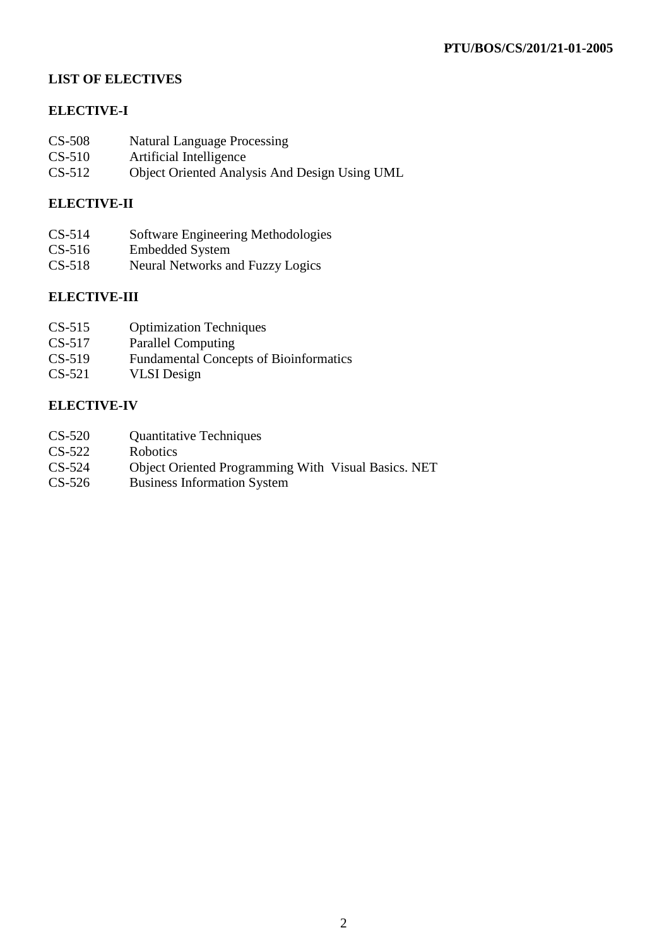# **LIST OF ELECTIVES**

# **ELECTIVE-I**

- CS-508 Natural Language Processing<br>CS-510 Artificial Intelligence
- Artificial Intelligence
- CS-512 Object Oriented Analysis And Design Using UML

### **ELECTIVE-II**

- CS-514 Software Engineering Methodologies
- CS-516 Embedded System
- CS-518 Neural Networks and Fuzzy Logics

#### **ELECTIVE-III**

- CS-515 Optimization Techniques
- CS-517 Parallel Computing
- CS-519 Fundamental Concepts of Bioinformatics
- CS-521 VLSI Design

#### **ELECTIVE-IV**

- CS-520 Quantitative Techniques
- CS-522 Robotics<br>CS-524 Obiect Or
- Object Oriented Programming With Visual Basics. NET
- CS-526 Business Information System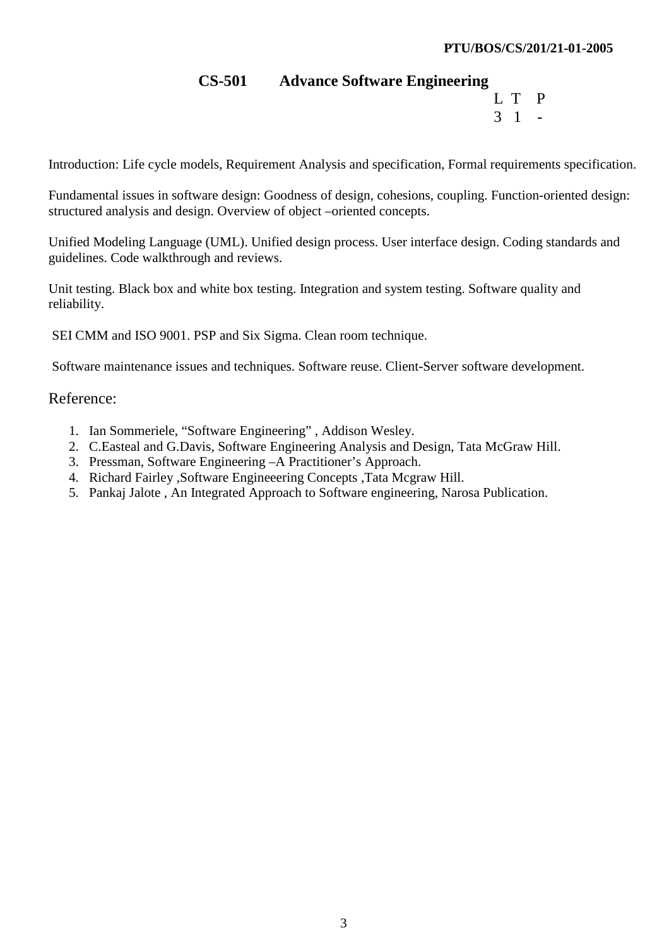# **CS-501 Advance Software Engineering**

L T P  $3 \quad 1 \quad -$ 

Introduction: Life cycle models, Requirement Analysis and specification, Formal requirements specification.

Fundamental issues in software design: Goodness of design, cohesions, coupling. Function-oriented design: structured analysis and design. Overview of object –oriented concepts.

Unified Modeling Language (UML). Unified design process. User interface design. Coding standards and guidelines. Code walkthrough and reviews.

Unit testing. Black box and white box testing. Integration and system testing. Software quality and reliability.

SEI CMM and ISO 9001. PSP and Six Sigma. Clean room technique.

Software maintenance issues and techniques. Software reuse. Client-Server software development.

# Reference:

- 1. Ian Sommeriele, "Software Engineering" , Addison Wesley.
- 2. C.Easteal and G.Davis, Software Engineering Analysis and Design, Tata McGraw Hill.
- 3. Pressman, Software Engineering –A Practitioner's Approach.
- 4. Richard Fairley ,Software Engineeering Concepts ,Tata Mcgraw Hill.
- 5. Pankaj Jalote , An Integrated Approach to Software engineering, Narosa Publication.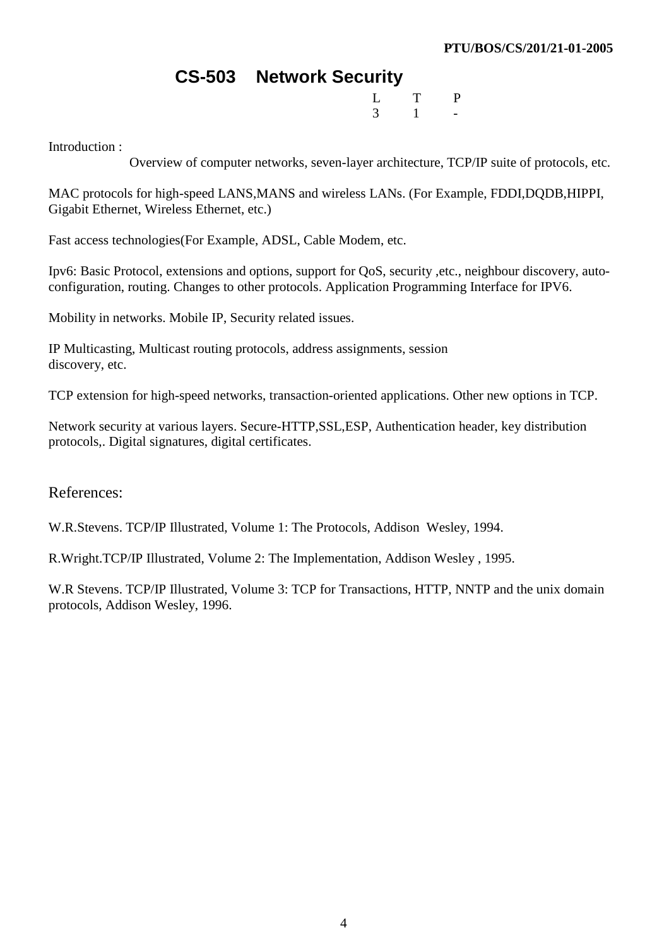# **CS-503 Network Security**

 L T P  $3 \t 1$  -

Introduction :

Overview of computer networks, seven-layer architecture, TCP/IP suite of protocols, etc.

MAC protocols for high-speed LANS,MANS and wireless LANs. (For Example, FDDI,DQDB,HIPPI, Gigabit Ethernet, Wireless Ethernet, etc.)

Fast access technologies(For Example, ADSL, Cable Modem, etc.

Ipv6: Basic Protocol, extensions and options, support for QoS, security ,etc., neighbour discovery, autoconfiguration, routing. Changes to other protocols. Application Programming Interface for IPV6.

Mobility in networks. Mobile IP, Security related issues.

IP Multicasting, Multicast routing protocols, address assignments, session discovery, etc.

TCP extension for high-speed networks, transaction-oriented applications. Other new options in TCP.

Network security at various layers. Secure-HTTP,SSL,ESP, Authentication header, key distribution protocols,. Digital signatures, digital certificates.

References:

W.R.Stevens. TCP/IP Illustrated, Volume 1: The Protocols, Addison Wesley, 1994.

R.Wright.TCP/IP Illustrated, Volume 2: The Implementation, Addison Wesley , 1995.

W.R Stevens. TCP/IP Illustrated, Volume 3: TCP for Transactions, HTTP, NNTP and the unix domain protocols, Addison Wesley, 1996.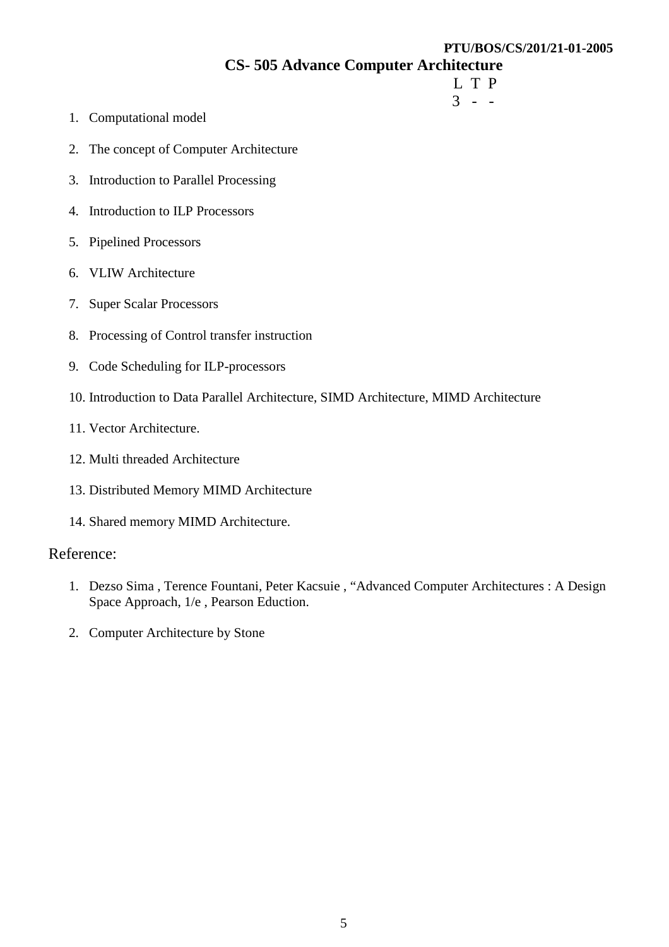# **CS- 505 Advance Computer Architecture**

- L T P  $3 - -$ 
	- 1. Computational model
	- 2. The concept of Computer Architecture
	- 3. Introduction to Parallel Processing
	- 4. Introduction to ILP Processors
	- 5. Pipelined Processors
	- 6. VLIW Architecture
	- 7. Super Scalar Processors
	- 8. Processing of Control transfer instruction
	- 9. Code Scheduling for ILP-processors
	- 10. Introduction to Data Parallel Architecture, SIMD Architecture, MIMD Architecture
	- 11. Vector Architecture.
	- 12. Multi threaded Architecture
	- 13. Distributed Memory MIMD Architecture
	- 14. Shared memory MIMD Architecture.

#### Reference:

- 1. Dezso Sima , Terence Fountani, Peter Kacsuie , "Advanced Computer Architectures : A Design Space Approach, 1/e , Pearson Eduction.
- 2. Computer Architecture by Stone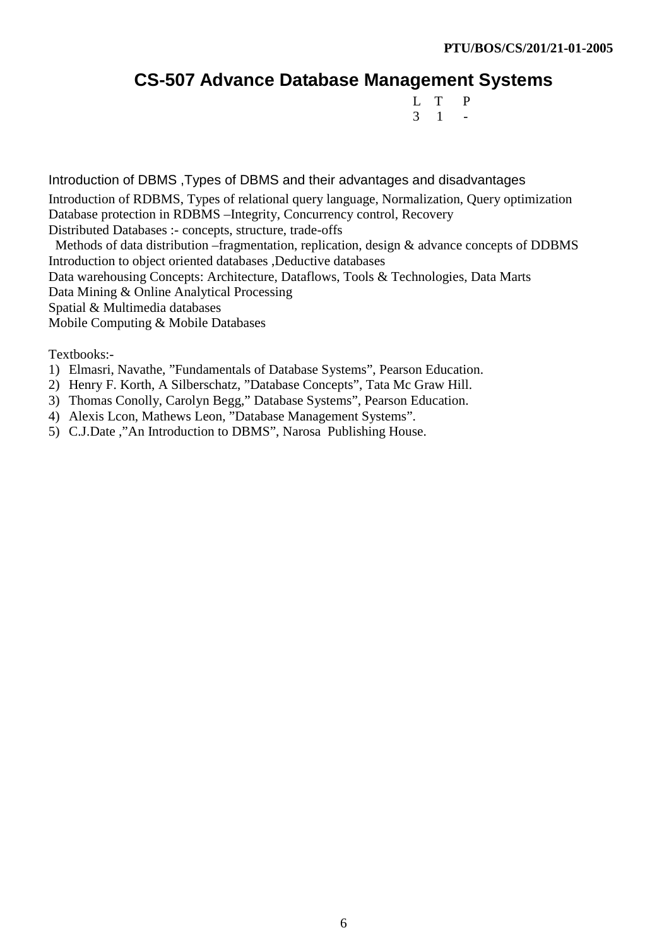# **CS-507 Advance Database Management Systems**

 L T P  $3 \quad 1 \quad -$ 

Introduction of DBMS ,Types of DBMS and their advantages and disadvantages Introduction of RDBMS, Types of relational query language, Normalization, Query optimization Database protection in RDBMS –Integrity, Concurrency control, Recovery Distributed Databases :- concepts, structure, trade-offs Methods of data distribution –fragmentation, replication, design & advance concepts of DDBMS

Introduction to object oriented databases ,Deductive databases Data warehousing Concepts: Architecture, Dataflows, Tools & Technologies, Data Marts

Data Mining & Online Analytical Processing

Spatial & Multimedia databases

Mobile Computing & Mobile Databases

Textbooks:-

- 1) Elmasri, Navathe, "Fundamentals of Database Systems", Pearson Education.
- 2) Henry F. Korth, A Silberschatz, "Database Concepts", Tata Mc Graw Hill.
- 3) Thomas Conolly, Carolyn Begg," Database Systems", Pearson Education.
- 4) Alexis Lcon, Mathews Leon, "Database Management Systems".
- 5) C.J.Date ,"An Introduction to DBMS", Narosa Publishing House.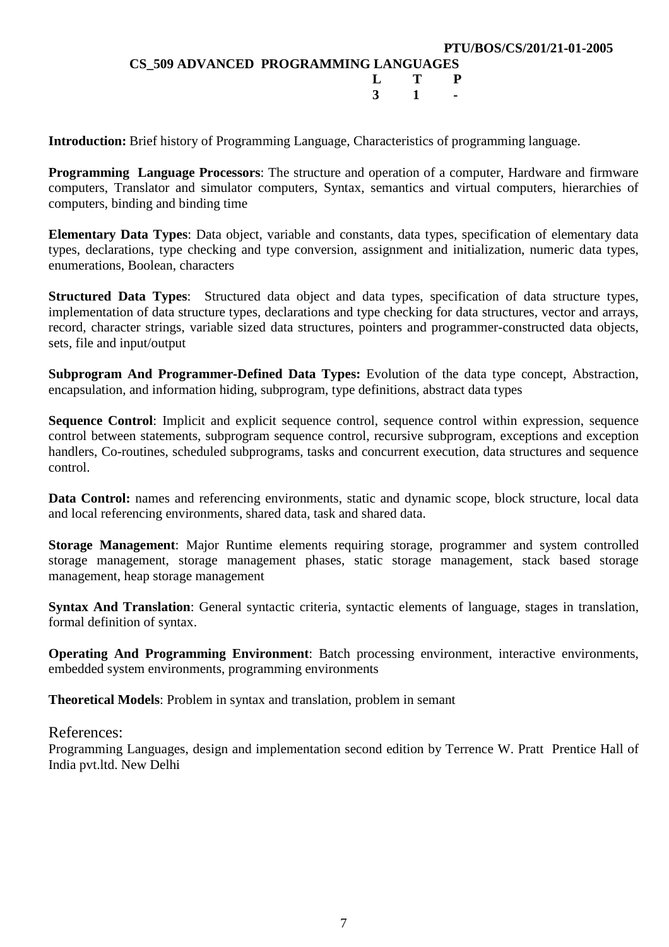**Introduction:** Brief history of Programming Language, Characteristics of programming language.

**Programming Language Processors**: The structure and operation of a computer, Hardware and firmware computers, Translator and simulator computers, Syntax, semantics and virtual computers, hierarchies of computers, binding and binding time

**Elementary Data Types**: Data object, variable and constants, data types, specification of elementary data types, declarations, type checking and type conversion, assignment and initialization, numeric data types, enumerations, Boolean, characters

**Structured Data Types**: Structured data object and data types, specification of data structure types, implementation of data structure types, declarations and type checking for data structures, vector and arrays, record, character strings, variable sized data structures, pointers and programmer-constructed data objects, sets, file and input/output

**Subprogram And Programmer-Defined Data Types:** Evolution of the data type concept, Abstraction, encapsulation, and information hiding, subprogram, type definitions, abstract data types

**Sequence Control**: Implicit and explicit sequence control, sequence control within expression, sequence control between statements, subprogram sequence control, recursive subprogram, exceptions and exception handlers, Co-routines, scheduled subprograms, tasks and concurrent execution, data structures and sequence control.

**Data Control:** names and referencing environments, static and dynamic scope, block structure, local data and local referencing environments, shared data, task and shared data.

**Storage Management**: Major Runtime elements requiring storage, programmer and system controlled storage management, storage management phases, static storage management, stack based storage management, heap storage management

**Syntax And Translation**: General syntactic criteria, syntactic elements of language, stages in translation, formal definition of syntax.

**Operating And Programming Environment**: Batch processing environment, interactive environments, embedded system environments, programming environments

**Theoretical Models**: Problem in syntax and translation, problem in semant

#### References:

Programming Languages, design and implementation second edition by Terrence W. Pratt Prentice Hall of India pvt.ltd. New Delhi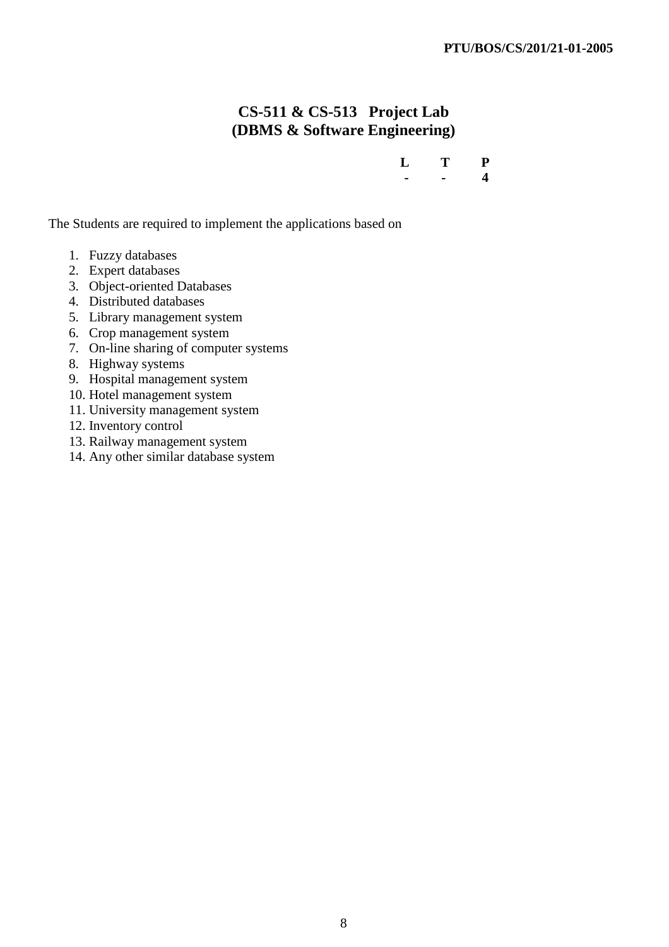# **CS-511 & CS-513 Project Lab (DBMS & Software Engineering)**

| $L$ T P |       |  |
|---------|-------|--|
|         | $  4$ |  |

The Students are required to implement the applications based on

- 1. Fuzzy databases
- 2. Expert databases
- 3. Object-oriented Databases
- 4. Distributed databases
- 5. Library management system
- 6. Crop management system
- 7. On-line sharing of computer systems
- 8. Highway systems
- 9. Hospital management system
- 10. Hotel management system
- 11. University management system
- 12. Inventory control
- 13. Railway management system
- 14. Any other similar database system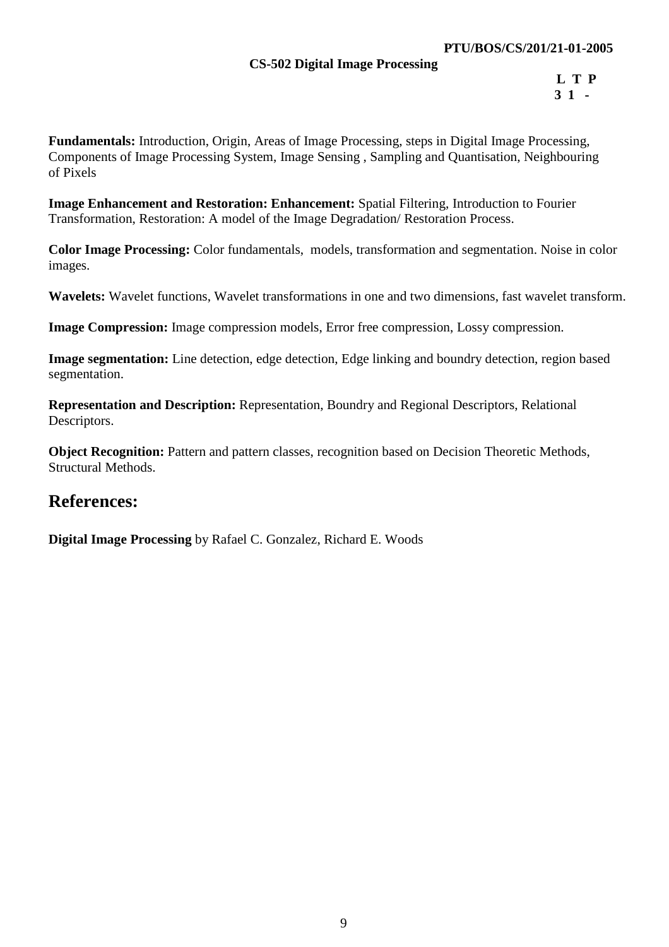#### **PTU/BOS/CS/201/21-01-2005**

#### **CS-502 Digital Image Processing**

**Fundamentals:** Introduction, Origin, Areas of Image Processing, steps in Digital Image Processing, Components of Image Processing System, Image Sensing , Sampling and Quantisation, Neighbouring of Pixels

**Image Enhancement and Restoration: Enhancement:** Spatial Filtering, Introduction to Fourier Transformation, Restoration: A model of the Image Degradation/ Restoration Process.

**Color Image Processing:** Color fundamentals, models, transformation and segmentation. Noise in color images.

**Wavelets:** Wavelet functions, Wavelet transformations in one and two dimensions, fast wavelet transform.

**Image Compression:** Image compression models, Error free compression, Lossy compression.

**Image segmentation:** Line detection, edge detection, Edge linking and boundry detection, region based segmentation.

**Representation and Description:** Representation, Boundry and Regional Descriptors, Relational Descriptors.

**Object Recognition:** Pattern and pattern classes, recognition based on Decision Theoretic Methods, Structural Methods.

# **References:**

**Digital Image Processing** by Rafael C. Gonzalez, Richard E. Woods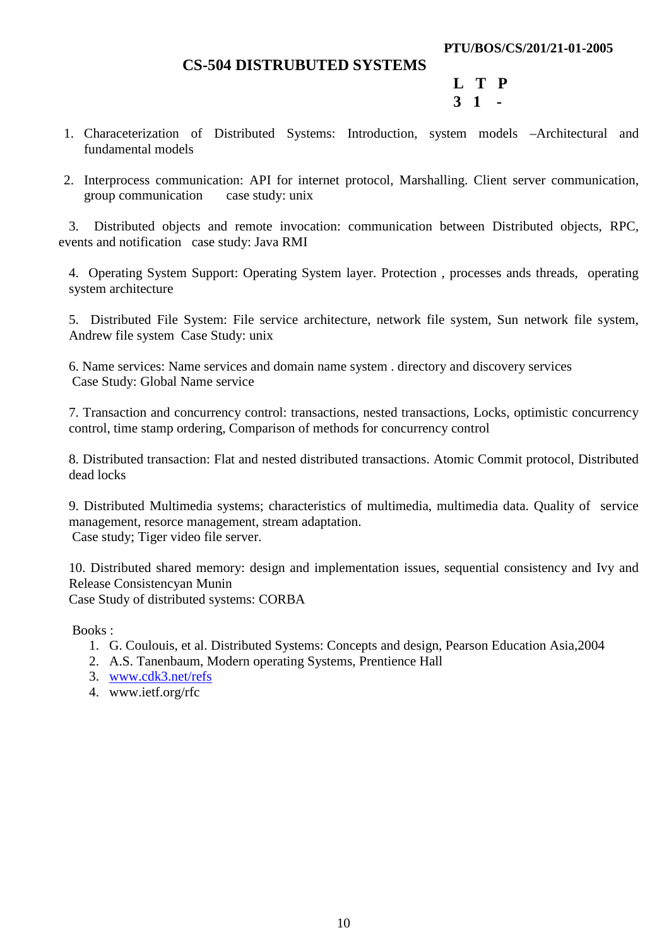#### **PTU/BOS/CS/201/21-01-2005**

## **CS-504 DISTRUBUTED SYSTEMS**

 **L T P 3 1 -** 

- 1. Characeterization of Distributed Systems: Introduction, system models –Architectural and fundamental models
- 2. Interprocess communication: API for internet protocol, Marshalling. Client server communication, group communication case study: unix

3. Distributed objects and remote invocation: communication between Distributed objects, RPC, events and notification case study: Java RMI

4. Operating System Support: Operating System layer. Protection , processes ands threads, operating system architecture

5. Distributed File System: File service architecture, network file system, Sun network file system, Andrew file system Case Study: unix

6. Name services: Name services and domain name system . directory and discovery services Case Study: Global Name service

7. Transaction and concurrency control: transactions, nested transactions, Locks, optimistic concurrency control, time stamp ordering, Comparison of methods for concurrency control

8. Distributed transaction: Flat and nested distributed transactions. Atomic Commit protocol, Distributed dead locks

9. Distributed Multimedia systems; characteristics of multimedia, multimedia data. Quality of service management, resorce management, stream adaptation. Case study; Tiger video file server.

10. Distributed shared memory: design and implementation issues, sequential consistency and Ivy and Release Consistencyan Munin

Case Study of distributed systems: CORBA

Books :

- 1. G. Coulouis, et al. Distributed Systems: Concepts and design, Pearson Education Asia,2004
- 2. A.S. Tanenbaum, Modern operating Systems, Prentience Hall
- 3. www.cdk3.net/refs
- 4. www.ietf.org/rfc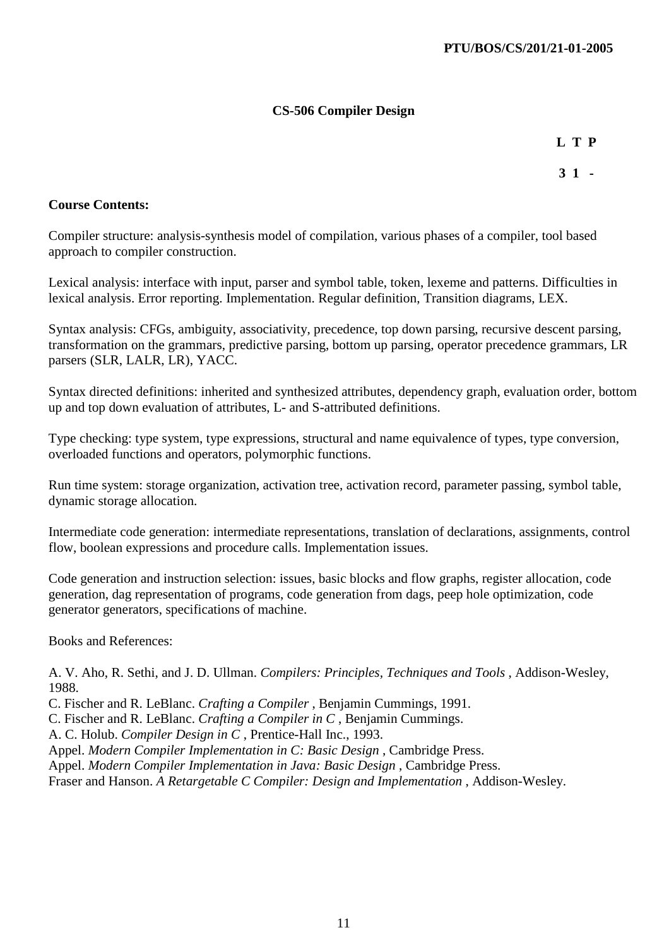# **CS-506 Compiler Design**

**L T P** 

**3 1 -** 

### **Course Contents:**

Compiler structure: analysis-synthesis model of compilation, various phases of a compiler, tool based approach to compiler construction.

Lexical analysis: interface with input, parser and symbol table, token, lexeme and patterns. Difficulties in lexical analysis. Error reporting. Implementation. Regular definition, Transition diagrams, LEX.

Syntax analysis: CFGs, ambiguity, associativity, precedence, top down parsing, recursive descent parsing, transformation on the grammars, predictive parsing, bottom up parsing, operator precedence grammars, LR parsers (SLR, LALR, LR), YACC.

Syntax directed definitions: inherited and synthesized attributes, dependency graph, evaluation order, bottom up and top down evaluation of attributes, L- and S-attributed definitions.

Type checking: type system, type expressions, structural and name equivalence of types, type conversion, overloaded functions and operators, polymorphic functions.

Run time system: storage organization, activation tree, activation record, parameter passing, symbol table, dynamic storage allocation.

Intermediate code generation: intermediate representations, translation of declarations, assignments, control flow, boolean expressions and procedure calls. Implementation issues.

Code generation and instruction selection: issues, basic blocks and flow graphs, register allocation, code generation, dag representation of programs, code generation from dags, peep hole optimization, code generator generators, specifications of machine.

Books and References:

A. V. Aho, R. Sethi, and J. D. Ullman. *Compilers: Principles, Techniques and Tools* , Addison-Wesley, 1988.

C. Fischer and R. LeBlanc. *Crafting a Compiler* , Benjamin Cummings, 1991.

C. Fischer and R. LeBlanc. *Crafting a Compiler in C* , Benjamin Cummings.

A. C. Holub. *Compiler Design in C* , Prentice-Hall Inc., 1993.

Appel. *Modern Compiler Implementation in C: Basic Design* , Cambridge Press.

Appel. *Modern Compiler Implementation in Java: Basic Design* , Cambridge Press.

Fraser and Hanson. *A Retargetable C Compiler: Design and Implementation* , Addison-Wesley.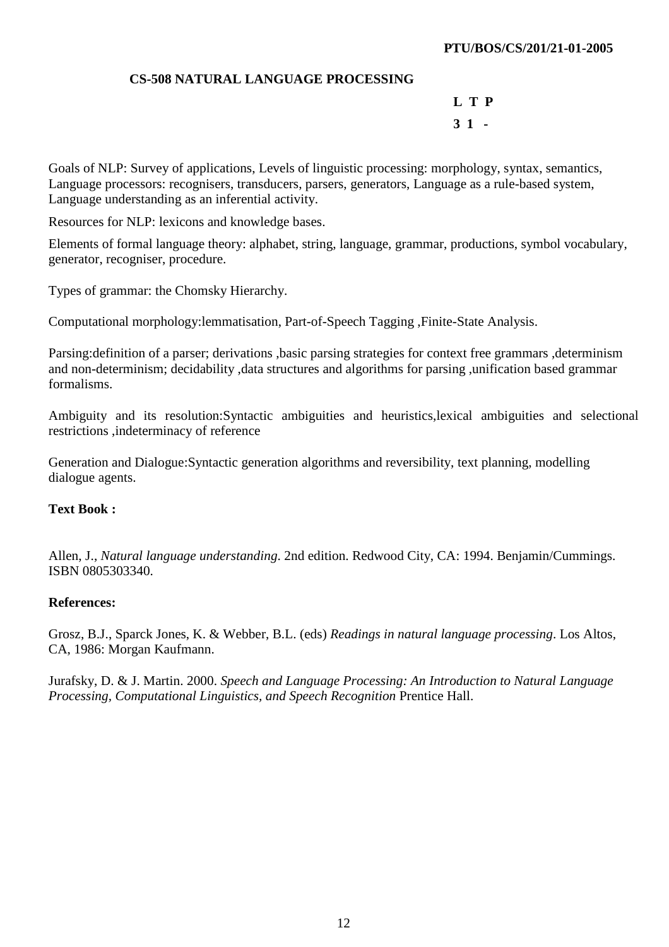#### **CS-508 NATURAL LANGUAGE PROCESSING**

**L T P 3 1 -** 

Goals of NLP: Survey of applications, Levels of linguistic processing: morphology, syntax, semantics, Language processors: recognisers, transducers, parsers, generators, Language as a rule-based system, Language understanding as an inferential activity.

Resources for NLP: lexicons and knowledge bases.

Elements of formal language theory: alphabet, string, language, grammar, productions, symbol vocabulary, generator, recogniser, procedure.

Types of grammar: the Chomsky Hierarchy.

Computational morphology:lemmatisation, Part-of-Speech Tagging ,Finite-State Analysis.

Parsing:definition of a parser; derivations ,basic parsing strategies for context free grammars ,determinism and non-determinism; decidability ,data structures and algorithms for parsing ,unification based grammar formalisms.

Ambiguity and its resolution:Syntactic ambiguities and heuristics,lexical ambiguities and selectional restrictions ,indeterminacy of reference

Generation and Dialogue:Syntactic generation algorithms and reversibility, text planning, modelling dialogue agents.

#### **Text Book :**

Allen, J., *Natural language understanding*. 2nd edition. Redwood City, CA: 1994. Benjamin/Cummings. ISBN 0805303340.

#### **References:**

Grosz, B.J., Sparck Jones, K. & Webber, B.L. (eds) *Readings in natural language processing*. Los Altos, CA, 1986: Morgan Kaufmann.

Jurafsky, D. & J. Martin. 2000. *Speech and Language Processing: An Introduction to Natural Language Processing, Computational Linguistics, and Speech Recognition* Prentice Hall.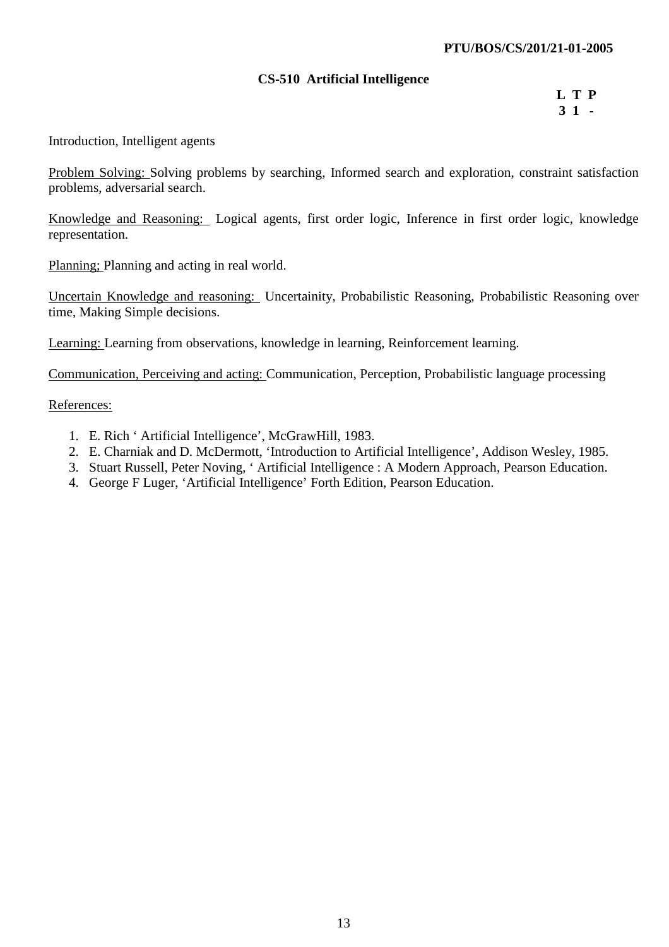#### **CS-510 Artificial Intelligence**

**L T P 3 1 -**

Introduction, Intelligent agents

Problem Solving: Solving problems by searching, Informed search and exploration, constraint satisfaction problems, adversarial search.

Knowledge and Reasoning: Logical agents, first order logic, Inference in first order logic, knowledge representation.

Planning; Planning and acting in real world.

Uncertain Knowledge and reasoning: Uncertainity, Probabilistic Reasoning, Probabilistic Reasoning over time, Making Simple decisions.

Learning: Learning from observations, knowledge in learning, Reinforcement learning.

Communication, Perceiving and acting: Communication, Perception, Probabilistic language processing

References:

- 1. E. Rich ' Artificial Intelligence', McGrawHill, 1983.
- 2. E. Charniak and D. McDermott, 'Introduction to Artificial Intelligence', Addison Wesley, 1985.
- 3. Stuart Russell, Peter Noving, ' Artificial Intelligence : A Modern Approach, Pearson Education.
- 4. George F Luger, 'Artificial Intelligence' Forth Edition, Pearson Education.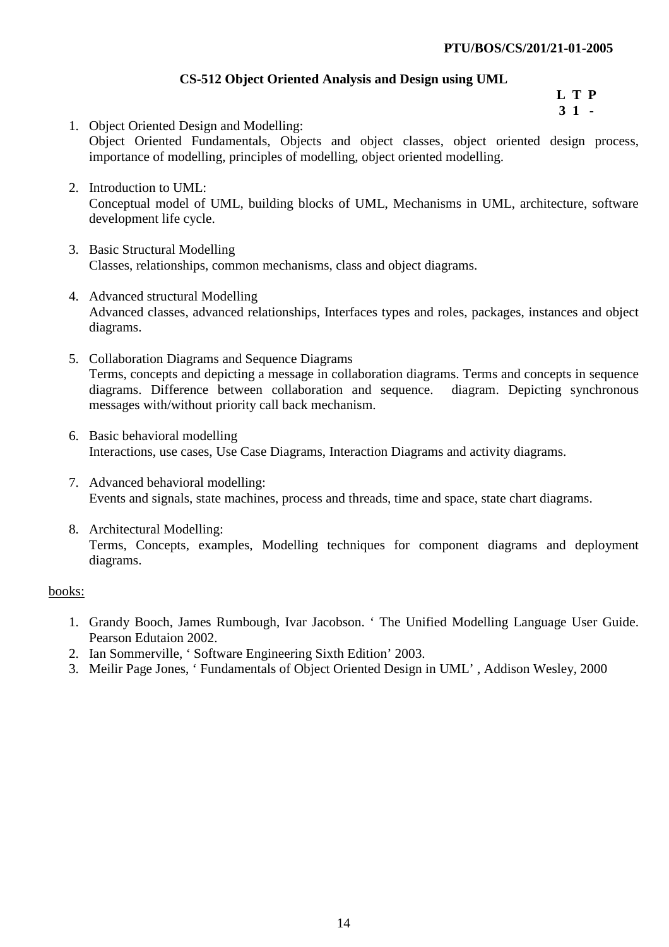# **CS-512 Object Oriented Analysis and Design using UML**

**L T P 3 1 -**

- 1. Object Oriented Design and Modelling: Object Oriented Fundamentals, Objects and object classes, object oriented design process, importance of modelling, principles of modelling, object oriented modelling.
- 2. Introduction to UML: Conceptual model of UML, building blocks of UML, Mechanisms in UML, architecture, software development life cycle.
- 3. Basic Structural Modelling Classes, relationships, common mechanisms, class and object diagrams.
- 4. Advanced structural Modelling Advanced classes, advanced relationships, Interfaces types and roles, packages, instances and object diagrams.
- 5. Collaboration Diagrams and Sequence Diagrams Terms, concepts and depicting a message in collaboration diagrams. Terms and concepts in sequence diagrams. Difference between collaboration and sequence. diagram. Depicting synchronous messages with/without priority call back mechanism.
- 6. Basic behavioral modelling Interactions, use cases, Use Case Diagrams, Interaction Diagrams and activity diagrams.
- 7. Advanced behavioral modelling: Events and signals, state machines, process and threads, time and space, state chart diagrams.
- 8. Architectural Modelling: Terms, Concepts, examples, Modelling techniques for component diagrams and deployment diagrams.

#### books:

- 1. Grandy Booch, James Rumbough, Ivar Jacobson. ' The Unified Modelling Language User Guide. Pearson Edutaion 2002.
- 2. Ian Sommerville, ' Software Engineering Sixth Edition' 2003.
- 3. Meilir Page Jones, ' Fundamentals of Object Oriented Design in UML' , Addison Wesley, 2000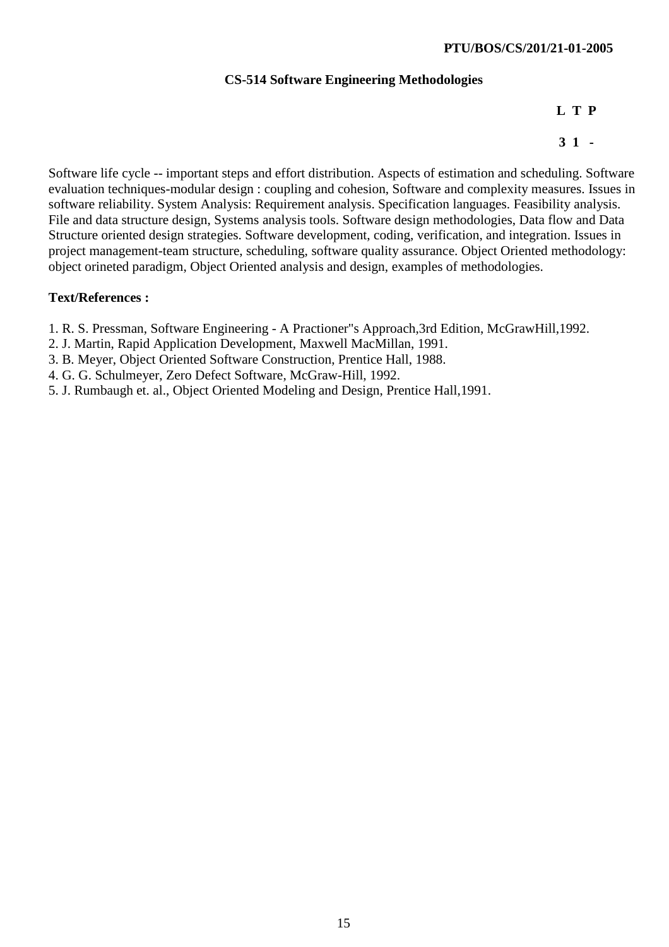### **CS-514 Software Engineering Methodologies**

**L T P** 

**3 1 -** 

Software life cycle -- important steps and effort distribution. Aspects of estimation and scheduling. Software evaluation techniques-modular design : coupling and cohesion, Software and complexity measures. Issues in software reliability. System Analysis: Requirement analysis. Specification languages. Feasibility analysis. File and data structure design, Systems analysis tools. Software design methodologies, Data flow and Data Structure oriented design strategies. Software development, coding, verification, and integration. Issues in project management-team structure, scheduling, software quality assurance. Object Oriented methodology: object orineted paradigm, Object Oriented analysis and design, examples of methodologies.

## **Text/References :**

- 1. R. S. Pressman, Software Engineering A Practioner"s Approach,3rd Edition, McGrawHill,1992.
- 2. J. Martin, Rapid Application Development, Maxwell MacMillan, 1991.
- 3. B. Meyer, Object Oriented Software Construction, Prentice Hall, 1988.
- 4. G. G. Schulmeyer, Zero Defect Software, McGraw-Hill, 1992.
- 5. J. Rumbaugh et. al., Object Oriented Modeling and Design, Prentice Hall,1991.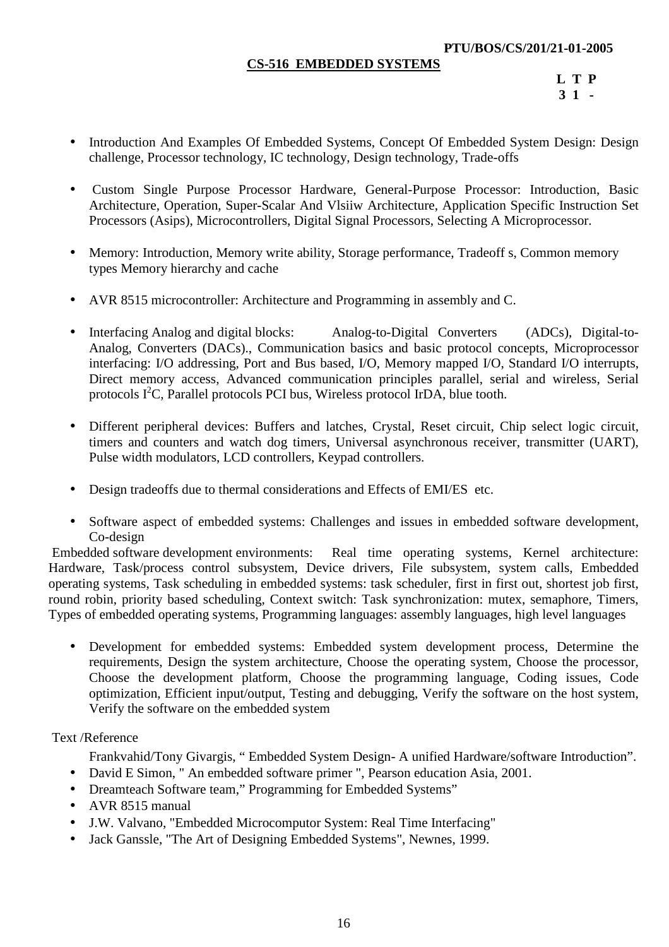### **CS-516 EMBEDDED SYSTEMS**

**L T P 3 1 -**

- Introduction And Examples Of Embedded Systems, Concept Of Embedded System Design: Design challenge, Processor technology, IC technology, Design technology, Trade-offs
- Custom Single Purpose Processor Hardware, General-Purpose Processor: Introduction, Basic Architecture, Operation, Super-Scalar And Vlsiiw Architecture, Application Specific Instruction Set Processors (Asips), Microcontrollers, Digital Signal Processors, Selecting A Microprocessor.
- Memory: Introduction, Memory write ability, Storage performance, Tradeoff s, Common memory types Memory hierarchy and cache
- AVR 8515 microcontroller: Architecture and Programming in assembly and C.
- Interfacing Analog and digital blocks: Analog-to-Digital Converters (ADCs), Digital-to-Analog, Converters (DACs)., Communication basics and basic protocol concepts, Microprocessor interfacing: I/O addressing, Port and Bus based, I/O, Memory mapped I/O, Standard I/O interrupts, Direct memory access, Advanced communication principles parallel, serial and wireless, Serial protocols  $I^2C$ , Parallel protocols PCI bus, Wireless protocol IrDA, blue tooth.
- Different peripheral devices: Buffers and latches, Crystal, Reset circuit, Chip select logic circuit, timers and counters and watch dog timers, Universal asynchronous receiver, transmitter (UART), Pulse width modulators, LCD controllers, Keypad controllers.
- Design tradeoffs due to thermal considerations and Effects of EMI/ES etc.
- Software aspect of embedded systems: Challenges and issues in embedded software development, Co-design

 Embedded software development environments: Real time operating systems, Kernel architecture: Hardware, Task/process control subsystem, Device drivers, File subsystem, system calls, Embedded operating systems, Task scheduling in embedded systems: task scheduler, first in first out, shortest job first, round robin, priority based scheduling, Context switch: Task synchronization: mutex, semaphore, Timers, Types of embedded operating systems, Programming languages: assembly languages, high level languages

• Development for embedded systems: Embedded system development process, Determine the requirements, Design the system architecture, Choose the operating system, Choose the processor, Choose the development platform, Choose the programming language, Coding issues, Code optimization, Efficient input/output, Testing and debugging, Verify the software on the host system, Verify the software on the embedded system

Text /Reference

Frankvahid/Tony Givargis, " Embedded System Design- A unified Hardware/software Introduction".

- David E Simon, " An embedded software primer ", Pearson education Asia, 2001.
- Dreamteach Software team," Programming for Embedded Systems"
- AVR 8515 manual
- J.W. Valvano, "Embedded Microcomputor System: Real Time Interfacing"
- Jack Ganssle, "The Art of Designing Embedded Systems", Newnes, 1999.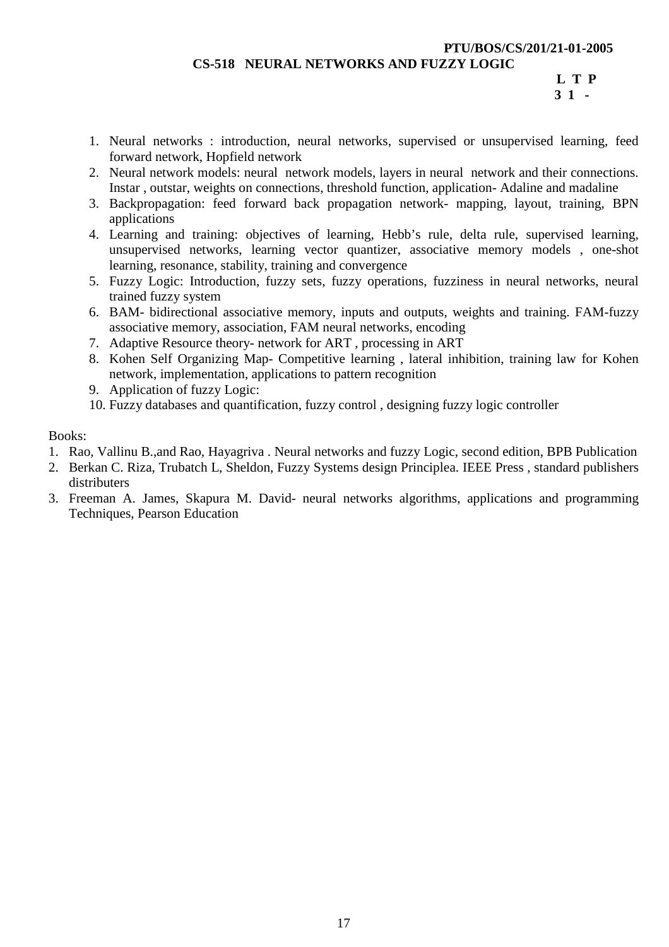#### **PTU/BOS/CS/201/21-01-2005**

**CS-518 NEURAL NETWORKS AND FUZZY LOGIC** 

**L T P 3 1 -** 

- 1. Neural networks : introduction, neural networks, supervised or unsupervised learning, feed forward network, Hopfield network
- 2. Neural network models: neural network models, layers in neural network and their connections. Instar , outstar, weights on connections, threshold function, application- Adaline and madaline
- 3. Backpropagation: feed forward back propagation network- mapping, layout, training, BPN applications
- 4. Learning and training: objectives of learning, Hebb's rule, delta rule, supervised learning, unsupervised networks, learning vector quantizer, associative memory models , one-shot learning, resonance, stability, training and convergence
- 5. Fuzzy Logic: Introduction, fuzzy sets, fuzzy operations, fuzziness in neural networks, neural trained fuzzy system
- 6. BAM- bidirectional associative memory, inputs and outputs, weights and training. FAM-fuzzy associative memory, association, FAM neural networks, encoding
- 7. Adaptive Resource theory- network for ART , processing in ART
- 8. Kohen Self Organizing Map- Competitive learning , lateral inhibition, training law for Kohen network, implementation, applications to pattern recognition
- 9. Application of fuzzy Logic:
- 10. Fuzzy databases and quantification, fuzzy control , designing fuzzy logic controller

Books:

- 1. Rao, Vallinu B.,and Rao, Hayagriva . Neural networks and fuzzy Logic, second edition, BPB Publication
- 2. Berkan C. Riza, Trubatch L, Sheldon, Fuzzy Systems design Principlea. IEEE Press , standard publishers distributers
- 3. Freeman A. James, Skapura M. David- neural networks algorithms, applications and programming Techniques, Pearson Education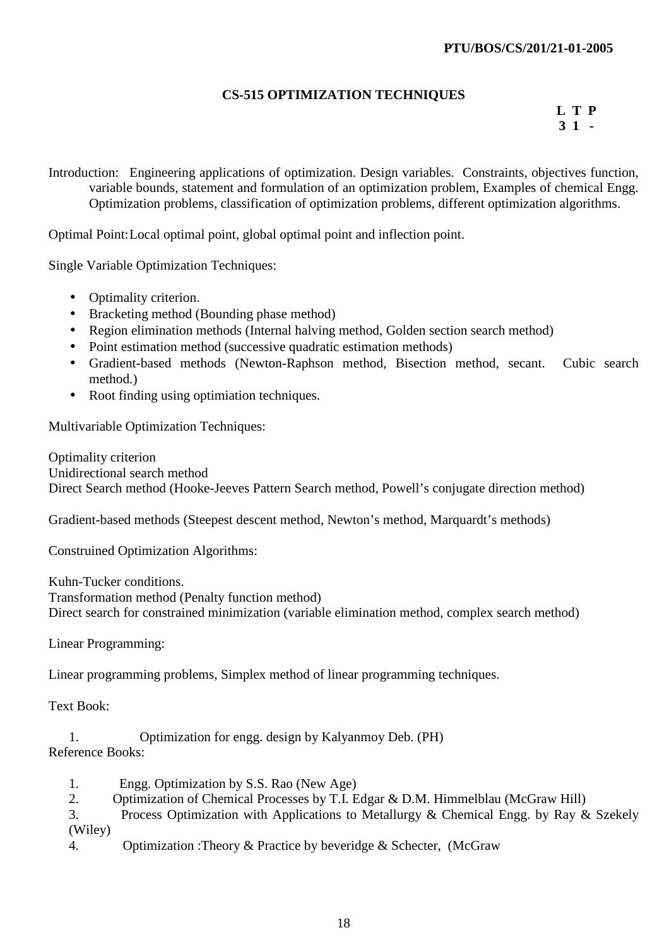# **CS-515 OPTIMIZATION TECHNIQUES**

**L T P 3 1 -**

Introduction: Engineering applications of optimization. Design variables. Constraints, objectives function, variable bounds, statement and formulation of an optimization problem, Examples of chemical Engg. Optimization problems, classification of optimization problems, different optimization algorithms.

Optimal Point: Local optimal point, global optimal point and inflection point.

Single Variable Optimization Techniques:

- Optimality criterion.
- Bracketing method (Bounding phase method)
- Region elimination methods (Internal halving method, Golden section search method)
- Point estimation method (successive quadratic estimation methods)
- Gradient-based methods (Newton-Raphson method, Bisection method, secant. Cubic search method.)
- Root finding using optimiation techniques.

Multivariable Optimization Techniques:

Optimality criterion Unidirectional search method Direct Search method (Hooke-Jeeves Pattern Search method, Powell's conjugate direction method)

Gradient-based methods (Steepest descent method, Newton's method, Marquardt's methods)

Construined Optimization Algorithms:

Kuhn-Tucker conditions. Transformation method (Penalty function method) Direct search for constrained minimization (variable elimination method, complex search method)

Linear Programming:

Linear programming problems, Simplex method of linear programming techniques.

Text Book:

1. Optimization for engg. design by Kalyanmoy Deb. (PH)

Reference Books:

- 1. Engg. Optimization by S.S. Rao (New Age)
- 2. Optimization of Chemical Processes by T.I. Edgar & D.M. Himmelblau (McGraw Hill)
- 3. Process Optimization with Applications to Metallurgy & Chemical Engg. by Ray & Szekely (Wiley)
	- 4. Optimization :Theory & Practice by beveridge & Schecter, (McGraw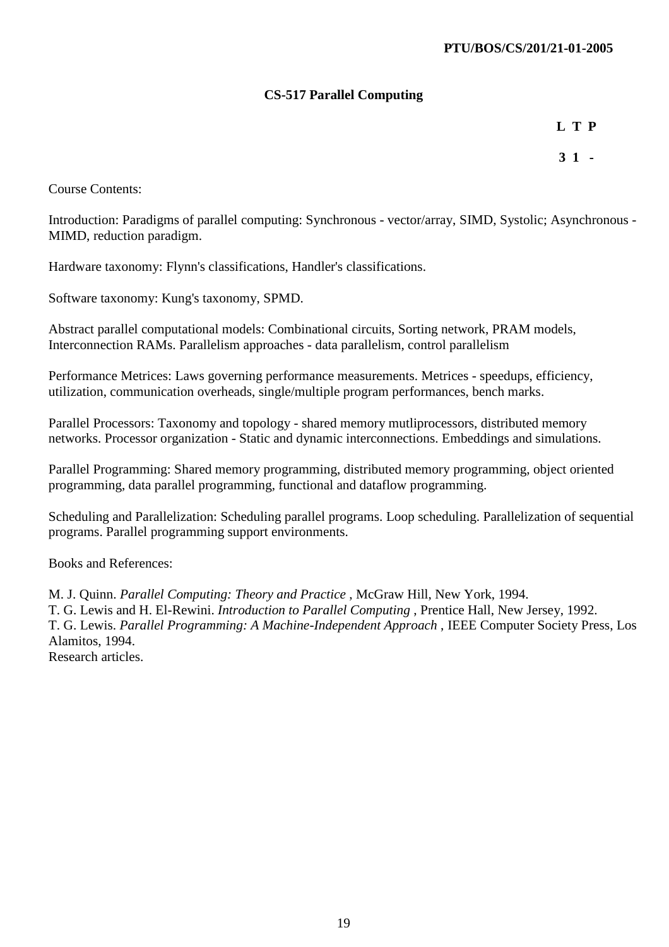# **CS-517 Parallel Computing**

**L T P** 

**3 1 -** 

Course Contents:

Introduction: Paradigms of parallel computing: Synchronous - vector/array, SIMD, Systolic; Asynchronous - MIMD, reduction paradigm.

Hardware taxonomy: Flynn's classifications, Handler's classifications.

Software taxonomy: Kung's taxonomy, SPMD.

Abstract parallel computational models: Combinational circuits, Sorting network, PRAM models, Interconnection RAMs. Parallelism approaches - data parallelism, control parallelism

Performance Metrices: Laws governing performance measurements. Metrices - speedups, efficiency, utilization, communication overheads, single/multiple program performances, bench marks.

Parallel Processors: Taxonomy and topology - shared memory mutliprocessors, distributed memory networks. Processor organization - Static and dynamic interconnections. Embeddings and simulations.

Parallel Programming: Shared memory programming, distributed memory programming, object oriented programming, data parallel programming, functional and dataflow programming.

Scheduling and Parallelization: Scheduling parallel programs. Loop scheduling. Parallelization of sequential programs. Parallel programming support environments.

Books and References:

M. J. Quinn. *Parallel Computing: Theory and Practice* , McGraw Hill, New York, 1994. T. G. Lewis and H. El-Rewini. *Introduction to Parallel Computing* , Prentice Hall, New Jersey, 1992. T. G. Lewis. *Parallel Programming: A Machine-Independent Approach* , IEEE Computer Society Press, Los Alamitos, 1994. Research articles.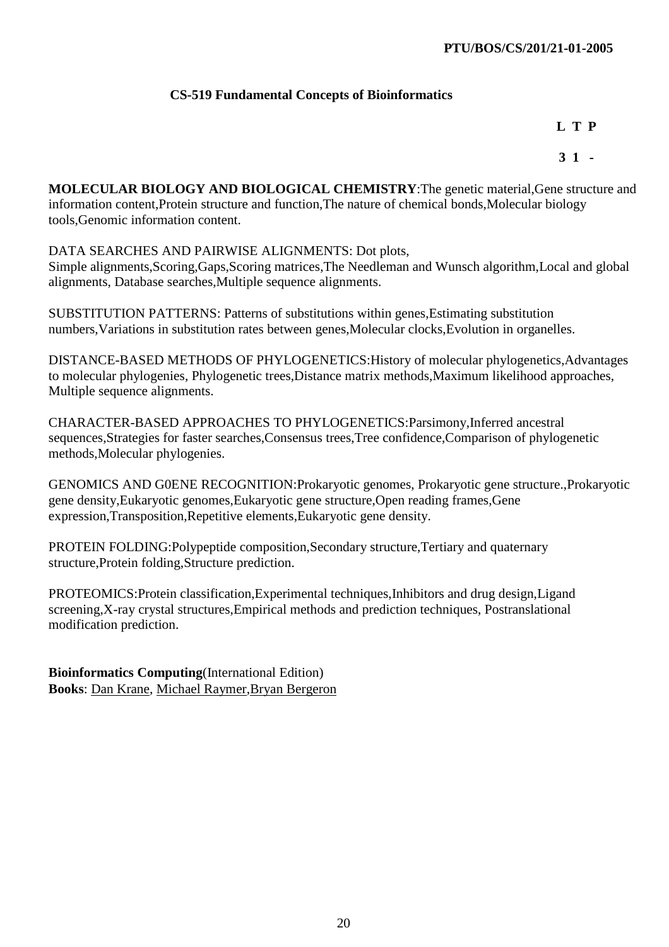# **CS-519 Fundamental Concepts of Bioinformatics**

**L T P** 

**3 1 -** 

**MOLECULAR BIOLOGY AND BIOLOGICAL CHEMISTRY**:The genetic material,Gene structure and information content,Protein structure and function,The nature of chemical bonds,Molecular biology tools,Genomic information content.

DATA SEARCHES AND PAIRWISE ALIGNMENTS: Dot plots,

Simple alignments,Scoring,Gaps,Scoring matrices,The Needleman and Wunsch algorithm,Local and global alignments, Database searches,Multiple sequence alignments.

SUBSTITUTION PATTERNS: Patterns of substitutions within genes,Estimating substitution numbers,Variations in substitution rates between genes,Molecular clocks,Evolution in organelles.

DISTANCE-BASED METHODS OF PHYLOGENETICS:History of molecular phylogenetics,Advantages to molecular phylogenies, Phylogenetic trees,Distance matrix methods,Maximum likelihood approaches, Multiple sequence alignments.

CHARACTER-BASED APPROACHES TO PHYLOGENETICS:Parsimony,Inferred ancestral sequences,Strategies for faster searches,Consensus trees,Tree confidence,Comparison of phylogenetic methods,Molecular phylogenies.

GENOMICS AND G0ENE RECOGNITION:Prokaryotic genomes, Prokaryotic gene structure.,Prokaryotic gene density,Eukaryotic genomes,Eukaryotic gene structure,Open reading frames,Gene expression,Transposition,Repetitive elements,Eukaryotic gene density.

PROTEIN FOLDING:Polypeptide composition,Secondary structure,Tertiary and quaternary structure,Protein folding,Structure prediction.

PROTEOMICS:Protein classification,Experimental techniques,Inhibitors and drug design,Ligand screening,X-ray crystal structures,Empirical methods and prediction techniques, Postranslational modification prediction.

**Bioinformatics Computing**(International Edition) **Books**: Dan Krane, Michael Raymer,Bryan Bergeron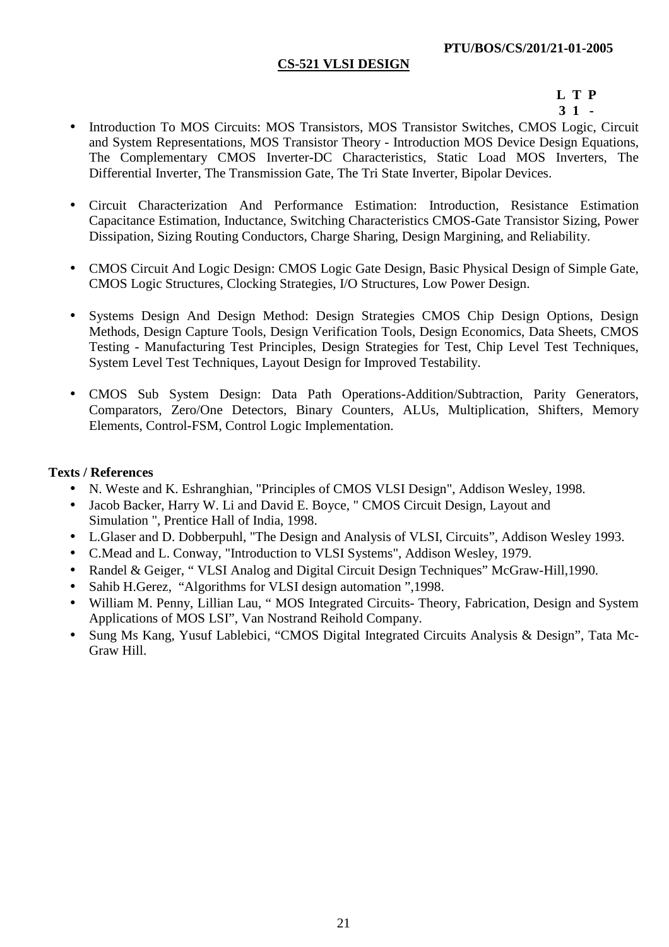# **CS-521 VLSI DESIGN**

#### **L T P 3 1 -**

- Introduction To MOS Circuits: MOS Transistors, MOS Transistor Switches, CMOS Logic, Circuit
- and System Representations, MOS Transistor Theory Introduction MOS Device Design Equations, The Complementary CMOS Inverter-DC Characteristics, Static Load MOS Inverters, The Differential Inverter, The Transmission Gate, The Tri State Inverter, Bipolar Devices.
- Circuit Characterization And Performance Estimation: Introduction, Resistance Estimation Capacitance Estimation, Inductance, Switching Characteristics CMOS-Gate Transistor Sizing, Power Dissipation, Sizing Routing Conductors, Charge Sharing, Design Margining, and Reliability.
- CMOS Circuit And Logic Design: CMOS Logic Gate Design, Basic Physical Design of Simple Gate, CMOS Logic Structures, Clocking Strategies, I/O Structures, Low Power Design.
- Systems Design And Design Method: Design Strategies CMOS Chip Design Options, Design Methods, Design Capture Tools, Design Verification Tools, Design Economics, Data Sheets, CMOS Testing - Manufacturing Test Principles, Design Strategies for Test, Chip Level Test Techniques, System Level Test Techniques, Layout Design for Improved Testability.
- CMOS Sub System Design: Data Path Operations-Addition/Subtraction, Parity Generators, Comparators, Zero/One Detectors, Binary Counters, ALUs, Multiplication, Shifters, Memory Elements, Control-FSM, Control Logic Implementation.

#### **Texts / References**

- N. Weste and K. Eshranghian, "Principles of CMOS VLSI Design", Addison Wesley, 1998.
- Jacob Backer, Harry W. Li and David E. Boyce, " CMOS Circuit Design, Layout and Simulation ", Prentice Hall of India, 1998.
- L.Glaser and D. Dobberpuhl, "The Design and Analysis of VLSI, Circuits", Addison Wesley 1993.
- C.Mead and L. Conway, "Introduction to VLSI Systems", Addison Wesley, 1979.
- Randel & Geiger, "VLSI Analog and Digital Circuit Design Techniques" McGraw-Hill, 1990.
- Sahib H.Gerez, "Algorithms for VLSI design automation", 1998.
- William M. Penny, Lillian Lau, " MOS Integrated Circuits- Theory, Fabrication, Design and System Applications of MOS LSI", Van Nostrand Reihold Company.
- Sung Ms Kang, Yusuf Lablebici, "CMOS Digital Integrated Circuits Analysis & Design", Tata Mc-Graw Hill.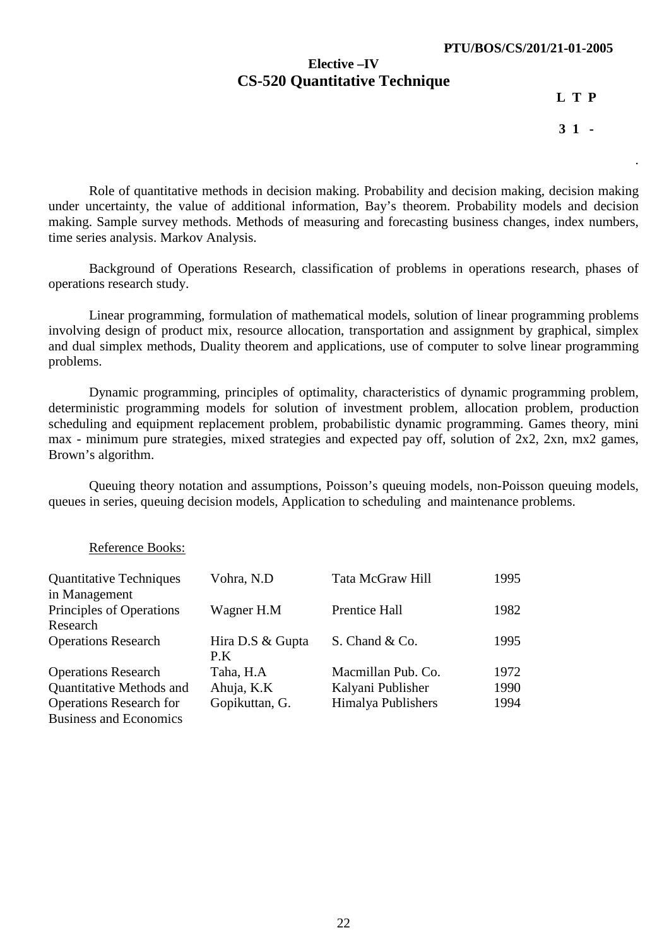### **Elective –IV CS-520 Quantitative Technique**

**L T P** 

**3 1 -** 

.

Role of quantitative methods in decision making. Probability and decision making, decision making under uncertainty, the value of additional information, Bay's theorem. Probability models and decision making. Sample survey methods. Methods of measuring and forecasting business changes, index numbers, time series analysis. Markov Analysis.

Background of Operations Research, classification of problems in operations research, phases of operations research study.

Linear programming, formulation of mathematical models, solution of linear programming problems involving design of product mix, resource allocation, transportation and assignment by graphical, simplex and dual simplex methods, Duality theorem and applications, use of computer to solve linear programming problems.

Dynamic programming, principles of optimality, characteristics of dynamic programming problem, deterministic programming models for solution of investment problem, allocation problem, production scheduling and equipment replacement problem, probabilistic dynamic programming. Games theory, mini max - minimum pure strategies, mixed strategies and expected pay off, solution of 2x2, 2xn, mx2 games, Brown's algorithm.

Queuing theory notation and assumptions, Poisson's queuing models, non-Poisson queuing models, queues in series, queuing decision models, Application to scheduling and maintenance problems.

#### Reference Books:

| <b>Quantitative Techniques</b>            | Vohra, N.D              | Tata McGraw Hill   | 1995 |
|-------------------------------------------|-------------------------|--------------------|------|
| in Management<br>Principles of Operations | Wagner H.M              | Prentice Hall      | 1982 |
| Research                                  |                         |                    |      |
| <b>Operations Research</b>                | Hira D.S & Gupta<br>P.K | S. Chand & Co.     | 1995 |
| <b>Operations Research</b>                | Taha, H.A               | Macmillan Pub. Co. | 1972 |
| Quantitative Methods and                  | Ahuja, K.K              | Kalyani Publisher  | 1990 |
| <b>Operations Research for</b>            | Gopikuttan, G.          | Himalya Publishers | 1994 |
| <b>Business and Economics</b>             |                         |                    |      |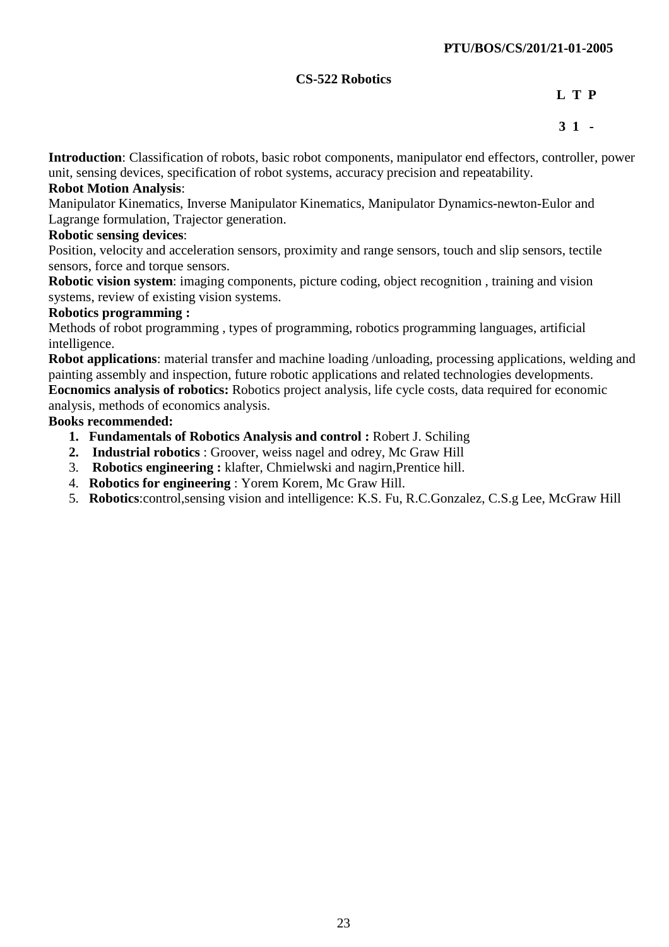## **CS-522 Robotics**

**L T P** 

# **3 1 -**

**Introduction**: Classification of robots, basic robot components, manipulator end effectors, controller, power unit, sensing devices, specification of robot systems, accuracy precision and repeatability.

## **Robot Motion Analysis**:

Manipulator Kinematics, Inverse Manipulator Kinematics, Manipulator Dynamics-newton-Eulor and Lagrange formulation, Trajector generation.

### **Robotic sensing devices**:

Position, velocity and acceleration sensors, proximity and range sensors, touch and slip sensors, tectile sensors, force and torque sensors.

**Robotic vision system**: imaging components, picture coding, object recognition , training and vision systems, review of existing vision systems.

#### **Robotics programming :**

Methods of robot programming , types of programming, robotics programming languages, artificial intelligence.

**Robot applications**: material transfer and machine loading /unloading, processing applications, welding and painting assembly and inspection, future robotic applications and related technologies developments.

**Eocnomics analysis of robotics:** Robotics project analysis, life cycle costs, data required for economic analysis, methods of economics analysis.

#### **Books recommended:**

- **1. Fundamentals of Robotics Analysis and control :** Robert J. Schiling
- **2. Industrial robotics** : Groover, weiss nagel and odrey, Mc Graw Hill
- 3. **Robotics engineering :** klafter, Chmielwski and nagirn,Prentice hill.
- 4. **Robotics for engineering** : Yorem Korem, Mc Graw Hill.
- 5. **Robotics**:control,sensing vision and intelligence: K.S. Fu, R.C.Gonzalez, C.S.g Lee, McGraw Hill